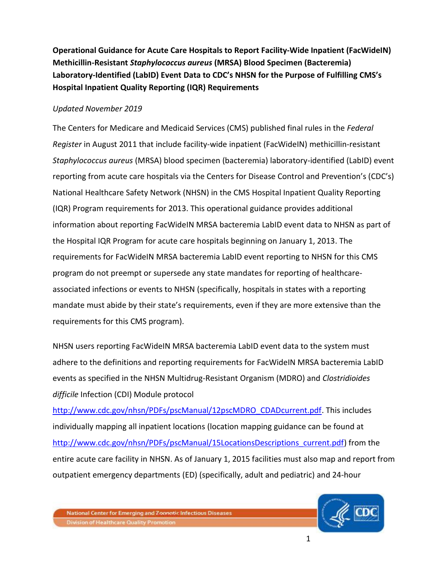**Operational Guidance for Acute Care Hospitals to Report Facility-Wide Inpatient (FacWideIN) Methicillin-Resistant** *Staphylococcus aureus* **(MRSA) Blood Specimen (Bacteremia) Laboratory-Identified (LabID) Event Data to CDC's NHSN for the Purpose of Fulfilling CMS's Hospital Inpatient Quality Reporting (IQR) Requirements** 

## *Updated November 2019*

The Centers for Medicare and Medicaid Services (CMS) published final rules in the *Federal Register* in August 2011 that include facility-wide inpatient (FacWideIN) methicillin-resistant *Staphylococcus aureus* (MRSA) blood specimen (bacteremia) laboratory-identified (LabID) event reporting from acute care hospitals via the Centers for Disease Control and Prevention's (CDC's) National Healthcare Safety Network (NHSN) in the CMS Hospital Inpatient Quality Reporting (IQR) Program requirements for 2013. This operational guidance provides additional information about reporting FacWideIN MRSA bacteremia LabID event data to NHSN as part of the Hospital IQR Program for acute care hospitals beginning on January 1, 2013. The requirements for FacWideIN MRSA bacteremia LabID event reporting to NHSN for this CMS program do not preempt or supersede any state mandates for reporting of healthcareassociated infections or events to NHSN (specifically, hospitals in states with a reporting mandate must abide by their state's requirements, even if they are more extensive than the requirements for this CMS program).

NHSN users reporting FacWideIN MRSA bacteremia LabID event data to the system must adhere to the definitions and reporting requirements for FacWideIN MRSA bacteremia LabID events as specified in the NHSN Multidrug-Resistant Organism (MDRO) and *Clostridioides difficile* Infection (CDI) Module protocol

[http://www.cdc.gov/nhsn/PDFs/pscManual/12pscMDRO\\_CDADcurrent.pdf.](http://www.cdc.gov/nhsn/PDFs/pscManual/12pscMDRO_CDADcurrent.pdf) This includes individually mapping all inpatient locations (location mapping guidance can be found at [http://www.cdc.gov/nhsn/PDFs/pscManual/15LocationsDescriptions\\_current.pdf\)](http://www.cdc.gov/nhsn/PDFs/pscManual/15LocationsDescriptions_current.pdf) from the entire acute care facility in NHSN. As of January 1, 2015 facilities must also map and report from outpatient emergency departments (ED) (specifically, adult and pediatric) and 24-hour

National Center for Emerging and Zoonotic Infectious Diseases **Division of Healthcare Quality Promotion** 

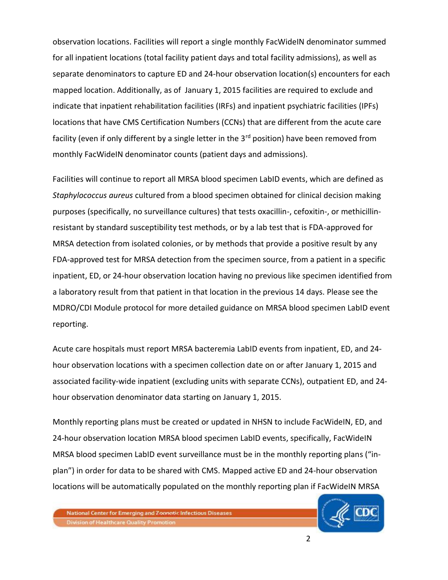observation locations. Facilities will report a single monthly FacWideIN denominator summed for all inpatient locations (total facility patient days and total facility admissions), as well as separate denominators to capture ED and 24-hour observation location(s) encounters for each mapped location. Additionally, as of January 1, 2015 facilities are required to exclude and indicate that inpatient rehabilitation facilities (IRFs) and inpatient psychiatric facilities (IPFs) locations that have CMS Certification Numbers (CCNs) that are different from the acute care facility (even if only different by a single letter in the  $3<sup>rd</sup>$  position) have been removed from monthly FacWideIN denominator counts (patient days and admissions).

Facilities will continue to report all MRSA blood specimen LabID events, which are defined as *Staphylococcus aureus* cultured from a blood specimen obtained for clinical decision making purposes (specifically, no surveillance cultures) that tests oxacillin-, cefoxitin-, or methicillinresistant by standard susceptibility test methods, or by a lab test that is FDA-approved for MRSA detection from isolated colonies, or by methods that provide a positive result by any FDA-approved test for MRSA detection from the specimen source, from a patient in a specific inpatient, ED, or 24-hour observation location having no previous like specimen identified from a laboratory result from that patient in that location in the previous 14 days. Please see the MDRO/CDI Module protocol for more detailed guidance on MRSA blood specimen LabID event reporting.

Acute care hospitals must report MRSA bacteremia LabID events from inpatient, ED, and 24 hour observation locations with a specimen collection date on or after January 1, 2015 and associated facility-wide inpatient (excluding units with separate CCNs), outpatient ED, and 24 hour observation denominator data starting on January 1, 2015.

Monthly reporting plans must be created or updated in NHSN to include FacWideIN, ED, and 24-hour observation location MRSA blood specimen LabID events, specifically, FacWideIN MRSA blood specimen LabID event surveillance must be in the monthly reporting plans ("inplan") in order for data to be shared with CMS. Mapped active ED and 24-hour observation locations will be automatically populated on the monthly reporting plan if FacWideIN MRSA



National Center for Emerging and Zoonotic Infectious Diseases **Division of Healthcare Quality Promotion**